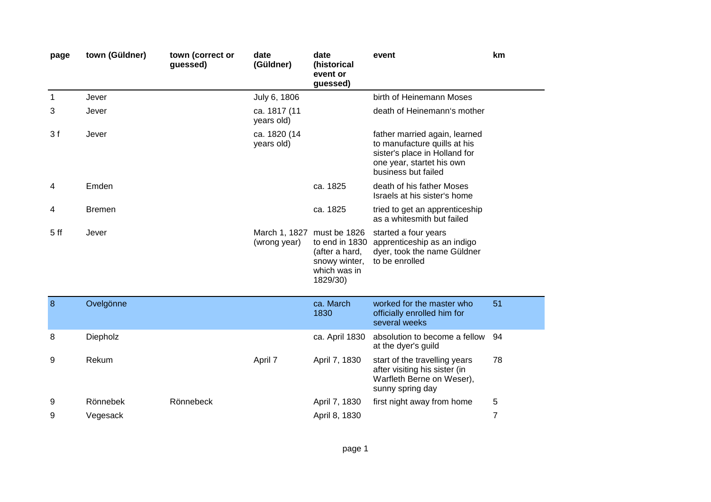| page            | town (Güldner) | town (correct or<br>guessed) | date<br>(Güldner)          | date<br>(historical<br>event or<br>guessed)                                               | event                                                                                                                                              | km |
|-----------------|----------------|------------------------------|----------------------------|-------------------------------------------------------------------------------------------|----------------------------------------------------------------------------------------------------------------------------------------------------|----|
| $\mathbf{1}$    | Jever          |                              | July 6, 1806               |                                                                                           | birth of Heinemann Moses                                                                                                                           |    |
| 3               | Jever          |                              | ca. 1817 (11<br>years old) |                                                                                           | death of Heinemann's mother                                                                                                                        |    |
| 3f              | Jever          |                              | ca. 1820 (14<br>years old) |                                                                                           | father married again, learned<br>to manufacture quills at his<br>sister's place in Holland for<br>one year, startet his own<br>business but failed |    |
| 4               | Emden          |                              |                            | ca. 1825                                                                                  | death of his father Moses<br>Israels at his sister's home                                                                                          |    |
| 4               | <b>Bremen</b>  |                              |                            | ca. 1825                                                                                  | tried to get an apprenticeship<br>as a whitesmith but failed                                                                                       |    |
| 5 <sub>ff</sub> | Jever          |                              | (wrong year)               | March 1, 1827 must be 1826<br>(after a hard,<br>snowy winter,<br>which was in<br>1829/30) | started a four years<br>to end in 1830 apprenticeship as an indigo<br>dyer, took the name Güldner<br>to be enrolled                                |    |
| 8               | Ovelgönne      |                              |                            | ca. March<br>1830                                                                         | worked for the master who<br>officially enrolled him for<br>several weeks                                                                          | 51 |
| 8               | Diepholz       |                              |                            | ca. April 1830                                                                            | absolution to become a fellow<br>at the dyer's guild                                                                                               | 94 |
| 9               | Rekum          |                              | April 7                    | April 7, 1830                                                                             | start of the travelling years<br>after visiting his sister (in<br>Warfleth Berne on Weser),<br>sunny spring day                                    | 78 |
| 9               | Rönnebek       | Rönnebeck                    |                            | April 7, 1830                                                                             | first night away from home                                                                                                                         | 5  |
| 9               | Vegesack       |                              |                            | April 8, 1830                                                                             |                                                                                                                                                    | 7  |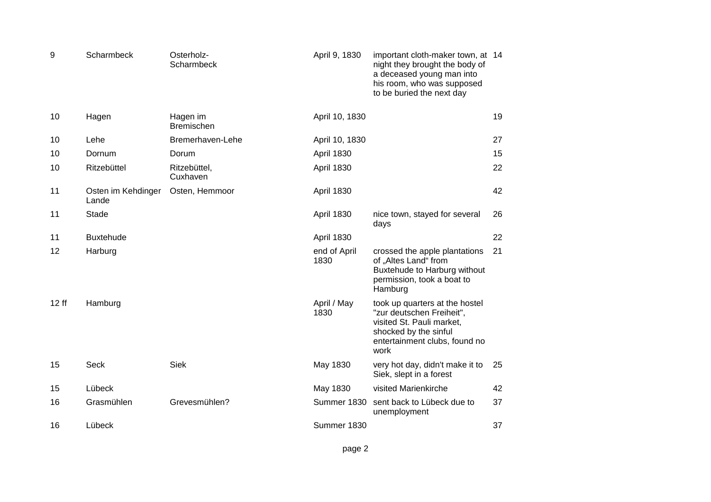| 9     | Scharmbeck                  | Osterholz-<br>Scharmbeck      | April 9, 1830        | important cloth-maker town, at 14<br>night they brought the body of<br>a deceased young man into<br>his room, who was supposed<br>to be buried the next day |    |
|-------|-----------------------------|-------------------------------|----------------------|-------------------------------------------------------------------------------------------------------------------------------------------------------------|----|
| 10    | Hagen                       | Hagen im<br><b>Bremischen</b> | April 10, 1830       |                                                                                                                                                             | 19 |
| 10    | Lehe                        | Bremerhaven-Lehe              | April 10, 1830       |                                                                                                                                                             | 27 |
| 10    | Dornum                      | Dorum                         | <b>April 1830</b>    |                                                                                                                                                             | 15 |
| 10    | Ritzebüttel                 | Ritzebüttel,<br>Cuxhaven      | <b>April 1830</b>    |                                                                                                                                                             | 22 |
| 11    | Osten im Kehdinger<br>Lande | Osten, Hemmoor                | <b>April 1830</b>    |                                                                                                                                                             | 42 |
| 11    | <b>Stade</b>                |                               | April 1830           | nice town, stayed for several<br>days                                                                                                                       | 26 |
| 11    | <b>Buxtehude</b>            |                               | April 1830           |                                                                                                                                                             | 22 |
| 12    | Harburg                     |                               | end of April<br>1830 | crossed the apple plantations<br>of "Altes Land" from<br>Buxtehude to Harburg without<br>permission, took a boat to<br>Hamburg                              | 21 |
| 12 ff | Hamburg                     |                               | April / May<br>1830  | took up quarters at the hostel<br>"zur deutschen Freiheit",<br>visited St. Pauli market,<br>shocked by the sinful<br>entertainment clubs, found no<br>work  |    |
| 15    | Seck                        | <b>Siek</b>                   | May 1830             | very hot day, didn't make it to<br>Siek, slept in a forest                                                                                                  | 25 |
| 15    | Lübeck                      |                               | May 1830             | visited Marienkirche                                                                                                                                        | 42 |
| 16    | Grasmühlen                  | Grevesmühlen?                 | Summer 1830          | sent back to Lübeck due to<br>unemployment                                                                                                                  | 37 |
| 16    | Lübeck                      |                               | Summer 1830          |                                                                                                                                                             | 37 |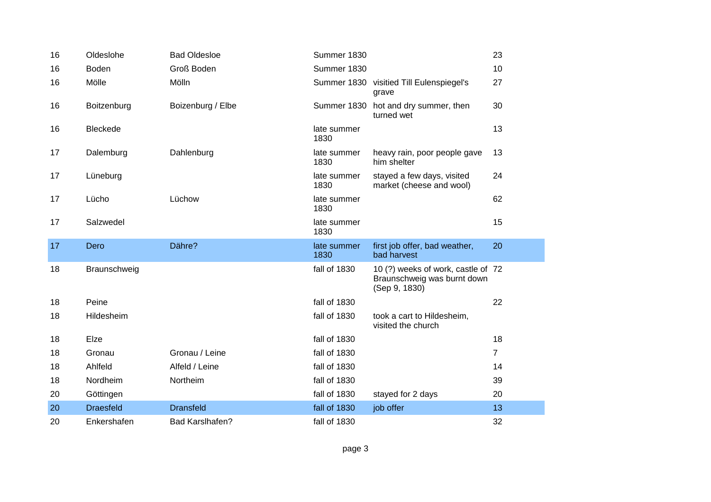| 16 | Oldeslohe        | <b>Bad Oldesloe</b>    | Summer 1830         |                                                                                    | 23             |
|----|------------------|------------------------|---------------------|------------------------------------------------------------------------------------|----------------|
| 16 | <b>Boden</b>     | Groß Boden             | Summer 1830         |                                                                                    | 10             |
| 16 | Mölle            | Mölln                  |                     | Summer 1830 visitied Till Eulenspiegel's<br>grave                                  | 27             |
| 16 | Boitzenburg      | Boizenburg / Elbe      |                     | Summer 1830 hot and dry summer, then<br>turned wet                                 | 30             |
| 16 | <b>Bleckede</b>  |                        | late summer<br>1830 |                                                                                    | 13             |
| 17 | Dalemburg        | Dahlenburg             | late summer<br>1830 | heavy rain, poor people gave<br>him shelter                                        | 13             |
| 17 | Lüneburg         |                        | late summer<br>1830 | stayed a few days, visited<br>market (cheese and wool)                             | 24             |
| 17 | Lücho            | Lüchow                 | late summer<br>1830 |                                                                                    | 62             |
| 17 | Salzwedel        |                        | late summer<br>1830 |                                                                                    | 15             |
| 17 | Dero             | Dähre?                 | late summer<br>1830 | first job offer, bad weather,<br>bad harvest                                       | 20             |
| 18 | Braunschweig     |                        | fall of 1830        | 10 (?) weeks of work, castle of 72<br>Braunschweig was burnt down<br>(Sep 9, 1830) |                |
| 18 | Peine            |                        | fall of 1830        |                                                                                    | 22             |
| 18 | Hildesheim       |                        | fall of 1830        | took a cart to Hildesheim,<br>visited the church                                   |                |
| 18 | Elze             |                        | fall of 1830        |                                                                                    | 18             |
| 18 | Gronau           | Gronau / Leine         | fall of 1830        |                                                                                    | $\overline{7}$ |
| 18 | Ahlfeld          | Alfeld / Leine         | fall of 1830        |                                                                                    | 14             |
| 18 | Nordheim         | Northeim               | fall of 1830        |                                                                                    | 39             |
| 20 | Göttingen        |                        | fall of 1830        | stayed for 2 days                                                                  | 20             |
| 20 | <b>Draesfeld</b> | <b>Dransfeld</b>       | fall of 1830        | job offer                                                                          | 13             |
| 20 | Enkershafen      | <b>Bad Karslhafen?</b> | fall of 1830        |                                                                                    | 32             |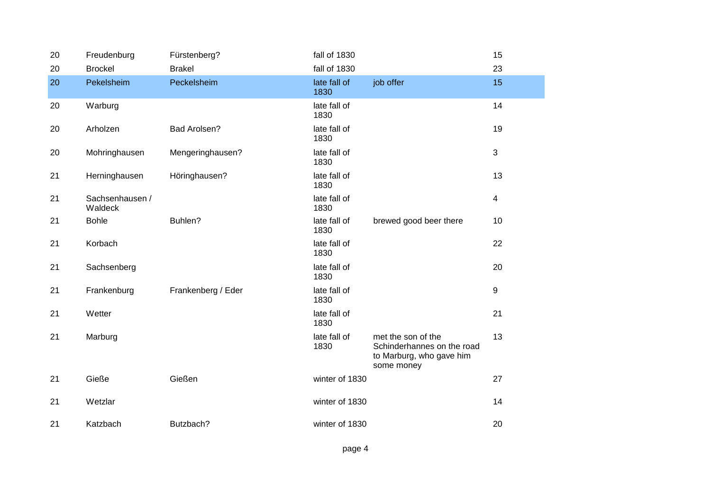| 20 | Freudenburg                | Fürstenberg?       | fall of 1830         |                                                                                            | 15             |
|----|----------------------------|--------------------|----------------------|--------------------------------------------------------------------------------------------|----------------|
| 20 | <b>Brockel</b>             | <b>Brakel</b>      | fall of 1830         |                                                                                            | 23             |
| 20 | Pekelsheim                 | Peckelsheim        | late fall of<br>1830 | job offer                                                                                  | 15             |
| 20 | Warburg                    |                    | late fall of<br>1830 |                                                                                            | 14             |
| 20 | Arholzen                   | Bad Arolsen?       | late fall of<br>1830 |                                                                                            | 19             |
| 20 | Mohringhausen              | Mengeringhausen?   | late fall of<br>1830 |                                                                                            | 3              |
| 21 | Herninghausen              | Höringhausen?      | late fall of<br>1830 |                                                                                            | 13             |
| 21 | Sachsenhausen /<br>Waldeck |                    | late fall of<br>1830 |                                                                                            | $\overline{4}$ |
| 21 | <b>Bohle</b>               | Buhlen?            | late fall of<br>1830 | brewed good beer there                                                                     | 10             |
| 21 | Korbach                    |                    | late fall of<br>1830 |                                                                                            | 22             |
| 21 | Sachsenberg                |                    | late fall of<br>1830 |                                                                                            | 20             |
| 21 | Frankenburg                | Frankenberg / Eder | late fall of<br>1830 |                                                                                            | 9              |
| 21 | Wetter                     |                    | late fall of<br>1830 |                                                                                            | 21             |
| 21 | Marburg                    |                    | late fall of<br>1830 | met the son of the<br>Schinderhannes on the road<br>to Marburg, who gave him<br>some money | 13             |
| 21 | Gieße                      | Gießen             | winter of 1830       |                                                                                            | 27             |
| 21 | Wetzlar                    |                    | winter of 1830       |                                                                                            | 14             |
| 21 | Katzbach                   | Butzbach?          | winter of 1830       |                                                                                            | 20             |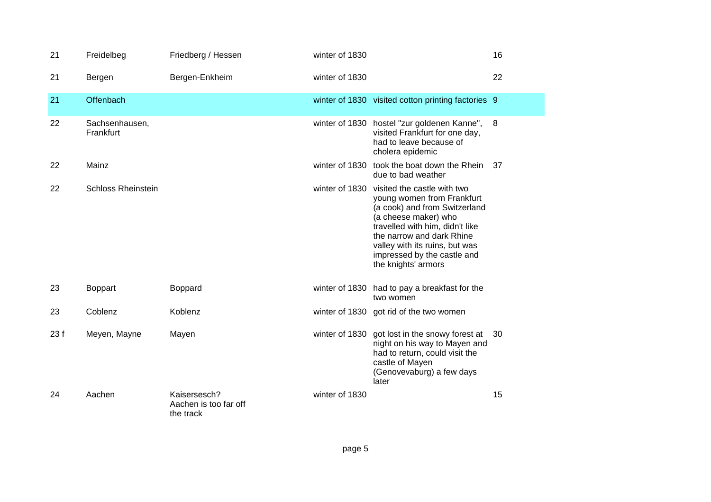| 21  | Freidelbeg                  | Friedberg / Hessen                                 | winter of 1830 |                                                                                                                                                                                                                                                                            | 16 |
|-----|-----------------------------|----------------------------------------------------|----------------|----------------------------------------------------------------------------------------------------------------------------------------------------------------------------------------------------------------------------------------------------------------------------|----|
| 21  | Bergen                      | Bergen-Enkheim                                     | winter of 1830 |                                                                                                                                                                                                                                                                            | 22 |
| 21  | <b>Offenbach</b>            |                                                    |                | winter of 1830 visited cotton printing factories 9                                                                                                                                                                                                                         |    |
| 22  | Sachsenhausen,<br>Frankfurt |                                                    |                | winter of 1830 hostel "zur goldenen Kanne",<br>visited Frankfurt for one day,<br>had to leave because of<br>cholera epidemic                                                                                                                                               | 8  |
| 22  | Mainz                       |                                                    | winter of 1830 | took the boat down the Rhein<br>due to bad weather                                                                                                                                                                                                                         | 37 |
| 22  | <b>Schloss Rheinstein</b>   |                                                    | winter of 1830 | visited the castle with two<br>young women from Frankfurt<br>(a cook) and from Switzerland<br>(a cheese maker) who<br>travelled with him, didn't like<br>the narrow and dark Rhine<br>valley with its ruins, but was<br>impressed by the castle and<br>the knights' armors |    |
| 23  | <b>Boppart</b>              | Boppard                                            |                | winter of 1830 had to pay a breakfast for the<br>two women                                                                                                                                                                                                                 |    |
| 23  | Coblenz                     | Koblenz                                            |                | winter of 1830 got rid of the two women                                                                                                                                                                                                                                    |    |
| 23f | Meyen, Mayne                | Mayen                                              | winter of 1830 | got lost in the snowy forest at<br>night on his way to Mayen and<br>had to return, could visit the<br>castle of Mayen<br>(Genovevaburg) a few days<br>later                                                                                                                | 30 |
| 24  | Aachen                      | Kaisersesch?<br>Aachen is too far off<br>the track | winter of 1830 |                                                                                                                                                                                                                                                                            | 15 |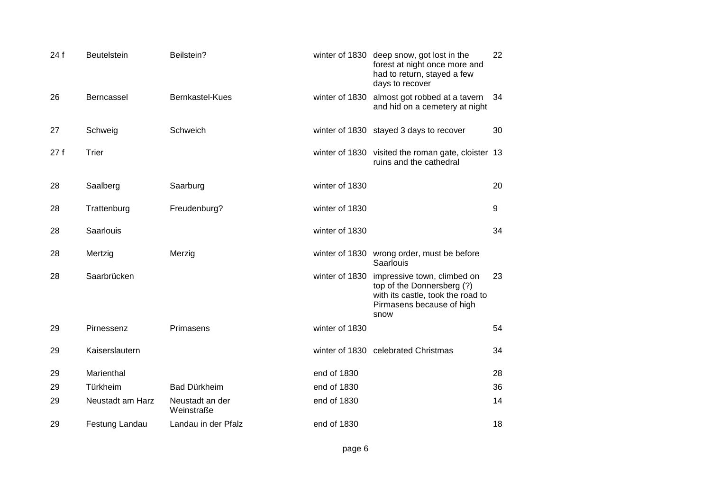| 24 f | <b>Beutelstein</b> | Beilstein?                    |                | winter of 1830 deep snow, got lost in the<br>forest at night once more and<br>had to return, stayed a few<br>days to recover        | 22  |
|------|--------------------|-------------------------------|----------------|-------------------------------------------------------------------------------------------------------------------------------------|-----|
| 26   | Berncassel         | Bernkastel-Kues               | winter of 1830 | almost got robbed at a tavern<br>and hid on a cemetery at night                                                                     | -34 |
| 27   | Schweig            | Schweich                      |                | winter of 1830 stayed 3 days to recover                                                                                             | 30  |
| 27f  | Trier              |                               |                | winter of 1830 visited the roman gate, cloister 13<br>ruins and the cathedral                                                       |     |
| 28   | Saalberg           | Saarburg                      | winter of 1830 |                                                                                                                                     | 20  |
| 28   | Trattenburg        | Freudenburg?                  | winter of 1830 |                                                                                                                                     | 9   |
| 28   | Saarlouis          |                               | winter of 1830 |                                                                                                                                     | 34  |
| 28   | Mertzig            | Merzig                        |                | winter of 1830 wrong order, must be before<br>Saarlouis                                                                             |     |
| 28   | Saarbrücken        |                               | winter of 1830 | impressive town, climbed on<br>top of the Donnersberg (?)<br>with its castle, took the road to<br>Pirmasens because of high<br>snow | 23  |
| 29   | Pirnessenz         | Primasens                     | winter of 1830 |                                                                                                                                     | 54  |
| 29   | Kaiserslautern     |                               |                | winter of 1830 celebrated Christmas                                                                                                 | 34  |
| 29   | Marienthal         |                               | end of 1830    |                                                                                                                                     | 28  |
| 29   | Türkheim           | Bad Dürkheim                  | end of 1830    |                                                                                                                                     | 36  |
| 29   | Neustadt am Harz   | Neustadt an der<br>Weinstraße | end of 1830    |                                                                                                                                     | 14  |
| 29   | Festung Landau     | Landau in der Pfalz           | end of 1830    |                                                                                                                                     | 18  |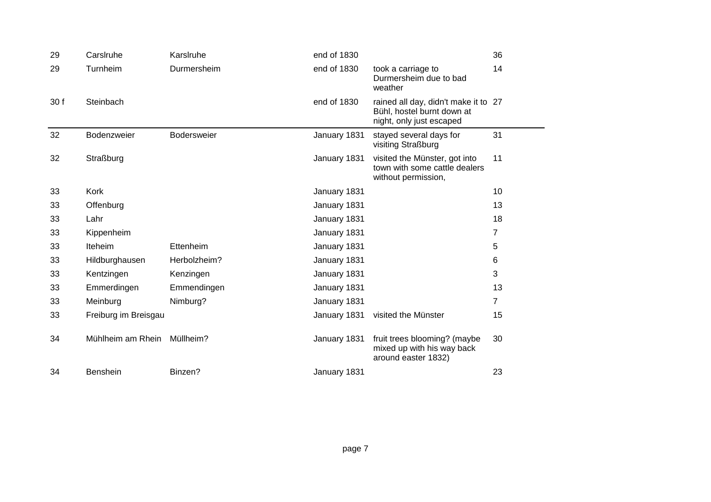| 29   | Carslruhe            | Karslruhe    | end of 1830  |                                                                                                | 36             |
|------|----------------------|--------------|--------------|------------------------------------------------------------------------------------------------|----------------|
| 29   | Turnheim             | Durmersheim  | end of 1830  | took a carriage to<br>Durmersheim due to bad<br>weather                                        | 14             |
| 30 f | Steinbach            |              | end of 1830  | rained all day, didn't make it to 27<br>Bühl, hostel burnt down at<br>night, only just escaped |                |
| 32   | Bodenzweier          | Bodersweier  | January 1831 | stayed several days for<br>visiting Straßburg                                                  | 31             |
| 32   | Straßburg            |              | January 1831 | visited the Münster, got into<br>town with some cattle dealers<br>without permission,          | 11             |
| 33   | Kork                 |              | January 1831 |                                                                                                | 10             |
| 33   | Offenburg            |              | January 1831 |                                                                                                | 13             |
| 33   | Lahr                 |              | January 1831 |                                                                                                | 18             |
| 33   | Kippenheim           |              | January 1831 |                                                                                                | $\overline{7}$ |
| 33   | Iteheim              | Ettenheim    | January 1831 |                                                                                                | 5              |
| 33   | Hildburghausen       | Herbolzheim? | January 1831 |                                                                                                | 6              |
| 33   | Kentzingen           | Kenzingen    | January 1831 |                                                                                                | 3              |
| 33   | Emmerdingen          | Emmendingen  | January 1831 |                                                                                                | 13             |
| 33   | Meinburg             | Nimburg?     | January 1831 |                                                                                                | $\overline{7}$ |
| 33   | Freiburg im Breisgau |              | January 1831 | visited the Münster                                                                            | 15             |
| 34   | Mühlheim am Rhein    | Müllheim?    | January 1831 | fruit trees blooming? (maybe<br>mixed up with his way back<br>around easter 1832)              | 30             |
| 34   | Benshein             | Binzen?      | January 1831 |                                                                                                | 23             |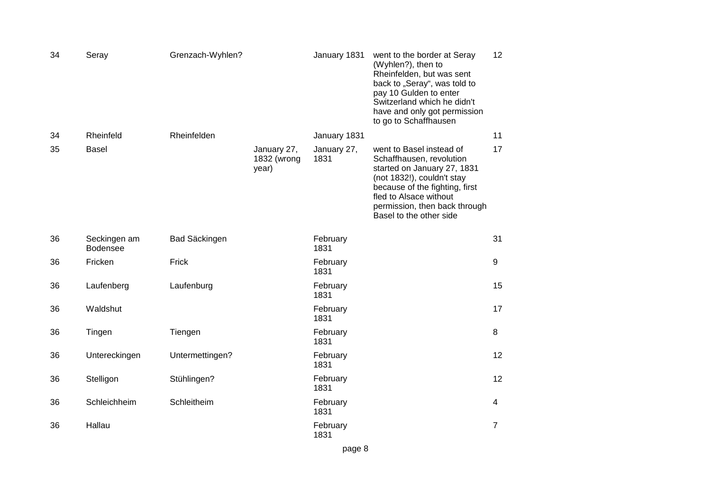| 34 | Seray                           | Grenzach-Wyhlen?     |                                     | January 1831        | went to the border at Seray<br>(Wyhlen?), then to<br>Rheinfelden, but was sent<br>back to "Seray", was told to<br>pay 10 Gulden to enter<br>Switzerland which he didn't<br>have and only got permission<br>to go to Schaffhausen          | 12             |
|----|---------------------------------|----------------------|-------------------------------------|---------------------|-------------------------------------------------------------------------------------------------------------------------------------------------------------------------------------------------------------------------------------------|----------------|
| 34 | Rheinfeld                       | Rheinfelden          |                                     | January 1831        |                                                                                                                                                                                                                                           | 11             |
| 35 | <b>Basel</b>                    |                      | January 27,<br>1832 (wrong<br>year) | January 27,<br>1831 | went to Basel instead of<br>Schaffhausen, revolution<br>started on January 27, 1831<br>(not 1832!), couldn't stay<br>because of the fighting, first<br>fled to Alsace without<br>permission, then back through<br>Basel to the other side | 17             |
| 36 | Seckingen am<br><b>Bodensee</b> | <b>Bad Säckingen</b> |                                     | February<br>1831    |                                                                                                                                                                                                                                           | 31             |
| 36 | Fricken                         | Frick                |                                     | February<br>1831    |                                                                                                                                                                                                                                           | 9              |
| 36 | Laufenberg                      | Laufenburg           |                                     | February<br>1831    |                                                                                                                                                                                                                                           | 15             |
| 36 | Waldshut                        |                      |                                     | February<br>1831    |                                                                                                                                                                                                                                           | 17             |
| 36 | Tingen                          | Tiengen              |                                     | February<br>1831    |                                                                                                                                                                                                                                           | 8              |
| 36 | Untereckingen                   | Untermettingen?      |                                     | February<br>1831    |                                                                                                                                                                                                                                           | 12             |
| 36 | Stelligon                       | Stühlingen?          |                                     | February<br>1831    |                                                                                                                                                                                                                                           | 12             |
| 36 | Schleichheim                    | Schleitheim          |                                     | February<br>1831    |                                                                                                                                                                                                                                           | 4              |
| 36 | Hallau                          |                      |                                     | February<br>1831    |                                                                                                                                                                                                                                           | $\overline{7}$ |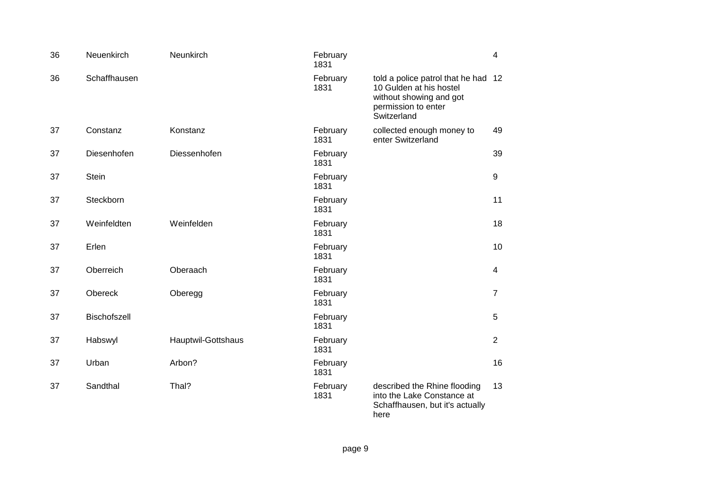| 36 | Neuenkirch   | Neunkirch          | February<br>1831 |                                                                                                                              | $\overline{4}$ |
|----|--------------|--------------------|------------------|------------------------------------------------------------------------------------------------------------------------------|----------------|
| 36 | Schaffhausen |                    | February<br>1831 | told a police patrol that he had<br>10 Gulden at his hostel<br>without showing and got<br>permission to enter<br>Switzerland | 12             |
| 37 | Constanz     | Konstanz           | February<br>1831 | collected enough money to<br>enter Switzerland                                                                               | 49             |
| 37 | Diesenhofen  | Diessenhofen       | February<br>1831 |                                                                                                                              | 39             |
| 37 | <b>Stein</b> |                    | February<br>1831 |                                                                                                                              | 9              |
| 37 | Steckborn    |                    | February<br>1831 |                                                                                                                              | 11             |
| 37 | Weinfeldten  | Weinfelden         | February<br>1831 |                                                                                                                              | 18             |
| 37 | Erlen        |                    | February<br>1831 |                                                                                                                              | 10             |
| 37 | Oberreich    | Oberaach           | February<br>1831 |                                                                                                                              | 4              |
| 37 | Obereck      | Oberegg            | February<br>1831 |                                                                                                                              | $\overline{7}$ |
| 37 | Bischofszell |                    | February<br>1831 |                                                                                                                              | 5              |
| 37 | Habswyl      | Hauptwil-Gottshaus | February<br>1831 |                                                                                                                              | $\overline{2}$ |
| 37 | Urban        | Arbon?             | February<br>1831 |                                                                                                                              | 16             |
| 37 | Sandthal     | Thal?              | February<br>1831 | described the Rhine flooding<br>into the Lake Constance at<br>Schaffhausen, but it's actually<br>here                        | 13             |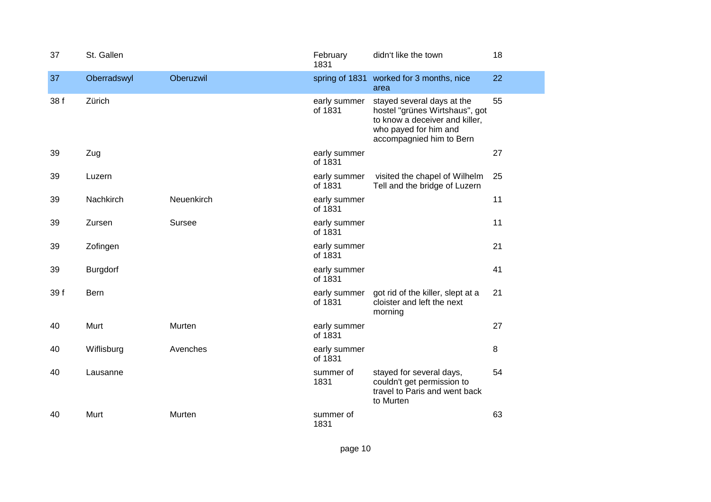| 37   | St. Gallen      |            | February<br>1831        | didn't like the town                                                                                                                                | 18 |
|------|-----------------|------------|-------------------------|-----------------------------------------------------------------------------------------------------------------------------------------------------|----|
| 37   | Oberradswyl     | Oberuzwil  |                         | spring of 1831 worked for 3 months, nice<br>area                                                                                                    | 22 |
| 38 f | Zürich          |            | early summer<br>of 1831 | stayed several days at the<br>hostel "grünes Wirtshaus", got<br>to know a deceiver and killer,<br>who payed for him and<br>accompagnied him to Bern | 55 |
| 39   | Zug             |            | early summer<br>of 1831 |                                                                                                                                                     | 27 |
| 39   | Luzern          |            | early summer<br>of 1831 | visited the chapel of Wilhelm<br>Tell and the bridge of Luzern                                                                                      | 25 |
| 39   | Nachkirch       | Neuenkirch | early summer<br>of 1831 |                                                                                                                                                     | 11 |
| 39   | Zursen          | Sursee     | early summer<br>of 1831 |                                                                                                                                                     | 11 |
| 39   | Zofingen        |            | early summer<br>of 1831 |                                                                                                                                                     | 21 |
| 39   | <b>Burgdorf</b> |            | early summer<br>of 1831 |                                                                                                                                                     | 41 |
| 39 f | Bern            |            | early summer<br>of 1831 | got rid of the killer, slept at a<br>cloister and left the next<br>morning                                                                          | 21 |
| 40   | Murt            | Murten     | early summer<br>of 1831 |                                                                                                                                                     | 27 |
| 40   | Wiflisburg      | Avenches   | early summer<br>of 1831 |                                                                                                                                                     | 8  |
| 40   | Lausanne        |            | summer of<br>1831       | stayed for several days,<br>couldn't get permission to<br>travel to Paris and went back<br>to Murten                                                | 54 |
| 40   | Murt            | Murten     | summer of<br>1831       |                                                                                                                                                     | 63 |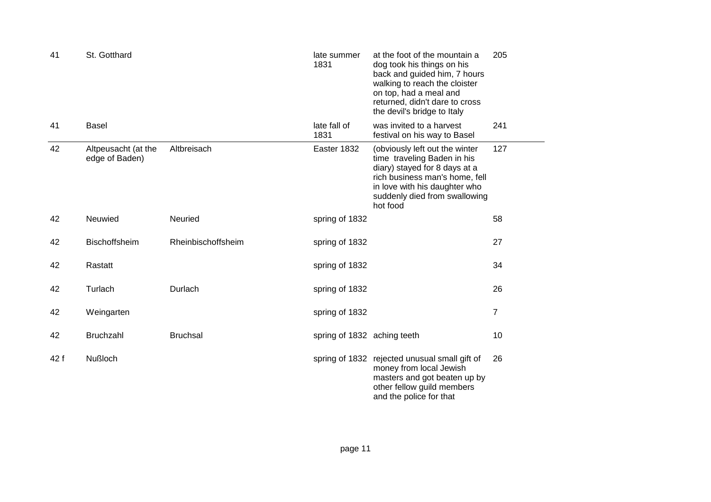| 41   | St. Gotthard                          |                    | late summer<br>1831         | at the foot of the mountain a<br>dog took his things on his<br>back and guided him, 7 hours<br>walking to reach the cloister<br>on top, had a meal and<br>returned, didn't dare to cross<br>the devil's bridge to Italy | 205            |
|------|---------------------------------------|--------------------|-----------------------------|-------------------------------------------------------------------------------------------------------------------------------------------------------------------------------------------------------------------------|----------------|
| 41   | <b>Basel</b>                          |                    | late fall of<br>1831        | was invited to a harvest<br>festival on his way to Basel                                                                                                                                                                | 241            |
| 42   | Altpeusacht (at the<br>edge of Baden) | Altbreisach        | Easter 1832                 | (obviously left out the winter<br>time traveling Baden in his<br>diary) stayed for 8 days at a<br>rich business man's home, fell<br>in love with his daughter who<br>suddenly died from swallowing<br>hot food          | 127            |
| 42   | Neuwied                               | Neuried            | spring of 1832              |                                                                                                                                                                                                                         | 58             |
| 42   | Bischoffsheim                         | Rheinbischoffsheim | spring of 1832              |                                                                                                                                                                                                                         | 27             |
| 42   | Rastatt                               |                    | spring of 1832              |                                                                                                                                                                                                                         | 34             |
| 42   | Turlach                               | Durlach            | spring of 1832              |                                                                                                                                                                                                                         | 26             |
| 42   | Weingarten                            |                    | spring of 1832              |                                                                                                                                                                                                                         | $\overline{7}$ |
| 42   | <b>Bruchzahl</b>                      | <b>Bruchsal</b>    | spring of 1832 aching teeth |                                                                                                                                                                                                                         | 10             |
| 42 f | <b>Nußloch</b>                        |                    |                             | spring of 1832 rejected unusual small gift of<br>money from local Jewish<br>masters and got beaten up by<br>other fellow guild members<br>and the police for that                                                       | 26             |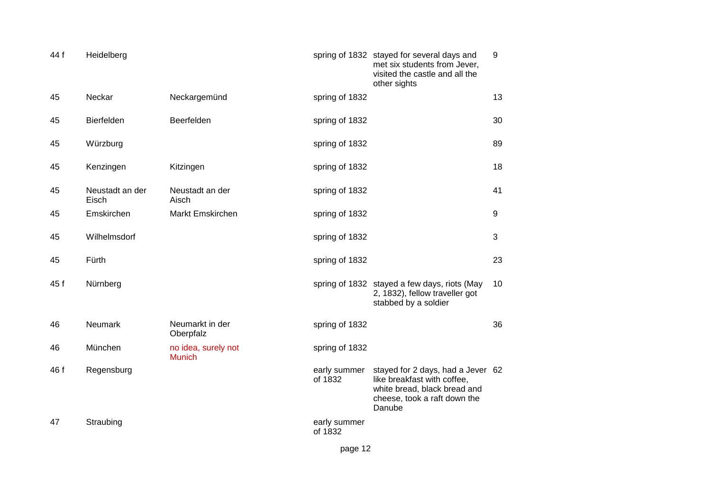| 44 f | Heidelberg               |                                      |                         | spring of 1832 stayed for several days and<br>met six students from Jever,<br>visited the castle and all the<br>other sights               | 9  |
|------|--------------------------|--------------------------------------|-------------------------|--------------------------------------------------------------------------------------------------------------------------------------------|----|
| 45   | Neckar                   | Neckargemünd                         | spring of 1832          |                                                                                                                                            | 13 |
| 45   | Bierfelden               | Beerfelden                           | spring of 1832          |                                                                                                                                            | 30 |
| 45   | Würzburg                 |                                      | spring of 1832          |                                                                                                                                            | 89 |
| 45   | Kenzingen                | Kitzingen                            | spring of 1832          |                                                                                                                                            | 18 |
| 45   | Neustadt an der<br>Eisch | Neustadt an der<br>Aisch             | spring of 1832          |                                                                                                                                            | 41 |
| 45   | Emskirchen               | Markt Emskirchen                     | spring of 1832          |                                                                                                                                            | 9  |
| 45   | Wilhelmsdorf             |                                      | spring of 1832          |                                                                                                                                            | 3  |
| 45   | Fürth                    |                                      | spring of 1832          |                                                                                                                                            | 23 |
| 45 f | Nürnberg                 |                                      |                         | spring of 1832 stayed a few days, riots (May<br>2, 1832), fellow traveller got<br>stabbed by a soldier                                     | 10 |
| 46   | Neumark                  | Neumarkt in der<br>Oberpfalz         | spring of 1832          |                                                                                                                                            | 36 |
| 46   | München                  | no idea, surely not<br><b>Munich</b> | spring of 1832          |                                                                                                                                            |    |
| 46 f | Regensburg               |                                      | early summer<br>of 1832 | stayed for 2 days, had a Jever 62<br>like breakfast with coffee,<br>white bread, black bread and<br>cheese, took a raft down the<br>Danube |    |
| 47   | Straubing                |                                      | early summer<br>of 1832 |                                                                                                                                            |    |
|      |                          |                                      | page 12                 |                                                                                                                                            |    |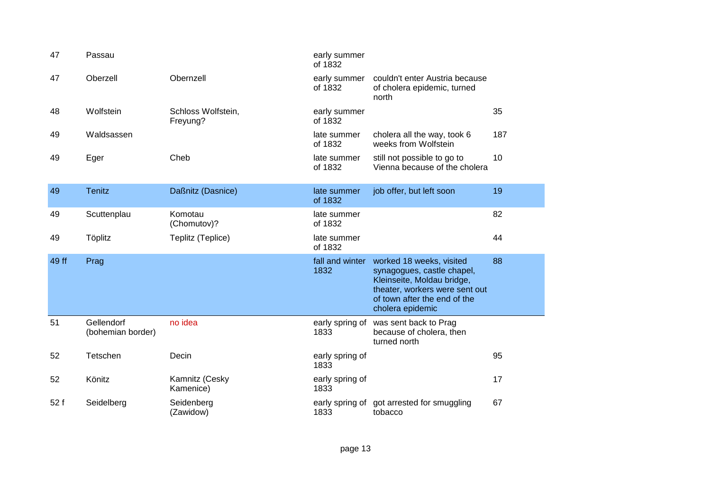| 47    | Passau                          |                                | early summer<br>of 1832 |                                                                                                                                                                            |     |
|-------|---------------------------------|--------------------------------|-------------------------|----------------------------------------------------------------------------------------------------------------------------------------------------------------------------|-----|
| 47    | Oberzell                        | Obernzell                      | early summer<br>of 1832 | couldn't enter Austria because<br>of cholera epidemic, turned<br>north                                                                                                     |     |
| 48    | Wolfstein                       | Schloss Wolfstein,<br>Freyung? | early summer<br>of 1832 |                                                                                                                                                                            | 35  |
| 49    | Waldsassen                      |                                | late summer<br>of 1832  | cholera all the way, took 6<br>weeks from Wolfstein                                                                                                                        | 187 |
| 49    | Eger                            | Cheb                           | late summer<br>of 1832  | still not possible to go to<br>Vienna because of the cholera                                                                                                               | 10  |
| 49    | <b>Tenitz</b>                   | Daßnitz (Dasnice)              | late summer<br>of 1832  | job offer, but left soon                                                                                                                                                   | 19  |
| 49    | Scuttenplau                     | Komotau<br>(Chomutov)?         | late summer<br>of 1832  |                                                                                                                                                                            | 82  |
| 49    | Töplitz                         | Teplitz (Teplice)              | late summer<br>of 1832  |                                                                                                                                                                            | 44  |
| 49 ff | Prag                            |                                | fall and winter<br>1832 | worked 18 weeks, visited<br>synagogues, castle chapel,<br>Kleinseite, Moldau bridge,<br>theater, workers were sent out<br>of town after the end of the<br>cholera epidemic | 88  |
| 51    | Gellendorf<br>(bohemian border) | no idea                        | early spring of<br>1833 | was sent back to Prag<br>because of cholera, then<br>turned north                                                                                                          |     |
| 52    | Tetschen                        | Decin                          | early spring of<br>1833 |                                                                                                                                                                            | 95  |
| 52    | Könitz                          | Kamnitz (Cesky<br>Kamenice)    | early spring of<br>1833 |                                                                                                                                                                            | 17  |
| 52 f  | Seidelberg                      | Seidenberg<br>(Zawidow)        | 1833                    | early spring of got arrested for smuggling<br>tobacco                                                                                                                      | 67  |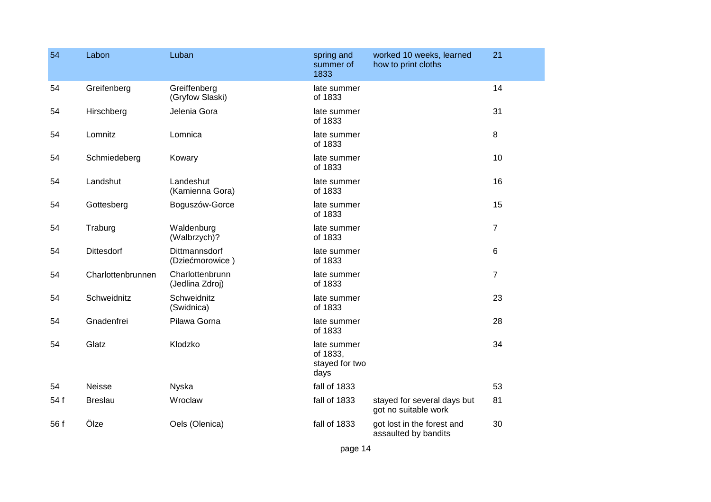| 54   | Labon             | Luban                              | spring and<br>summer of<br>1833                   | worked 10 weeks, learned<br>how to print cloths     | 21             |
|------|-------------------|------------------------------------|---------------------------------------------------|-----------------------------------------------------|----------------|
| 54   | Greifenberg       | Greiffenberg<br>(Gryfow Slaski)    | late summer<br>of 1833                            |                                                     | 14             |
| 54   | Hirschberg        | Jelenia Gora                       | late summer<br>of 1833                            |                                                     | 31             |
| 54   | Lomnitz           | Lomnica                            | late summer<br>of 1833                            |                                                     | 8              |
| 54   | Schmiedeberg      | Kowary                             | late summer<br>of 1833                            |                                                     | 10             |
| 54   | Landshut          | Landeshut<br>(Kamienna Gora)       | late summer<br>of 1833                            |                                                     | 16             |
| 54   | Gottesberg        | Boguszów-Gorce                     | late summer<br>of 1833                            |                                                     | 15             |
| 54   | Traburg           | Waldenburg<br>(Walbrzych)?         | late summer<br>of 1833                            |                                                     | $\overline{7}$ |
| 54   | <b>Dittesdorf</b> | Dittmannsdorf<br>(Dziećmorowice)   | late summer<br>of 1833                            |                                                     | 6              |
| 54   | Charlottenbrunnen | Charlottenbrunn<br>(Jedlina Zdroj) | late summer<br>of 1833                            |                                                     | $\overline{7}$ |
| 54   | Schweidnitz       | Schweidnitz<br>(Swidnica)          | late summer<br>of 1833                            |                                                     | 23             |
| 54   | Gnadenfrei        | Pilawa Gorna                       | late summer<br>of 1833                            |                                                     | 28             |
| 54   | Glatz             | Klodzko                            | late summer<br>of 1833,<br>stayed for two<br>days |                                                     | 34             |
| 54   | Neisse            | <b>Nyska</b>                       | fall of 1833                                      |                                                     | 53             |
| 54 f | <b>Breslau</b>    | Wroclaw                            | fall of 1833                                      | stayed for several days but<br>got no suitable work | 81             |
| 56 f | Ölze              | Oels (Olenica)                     | fall of 1833                                      | got lost in the forest and<br>assaulted by bandits  | 30             |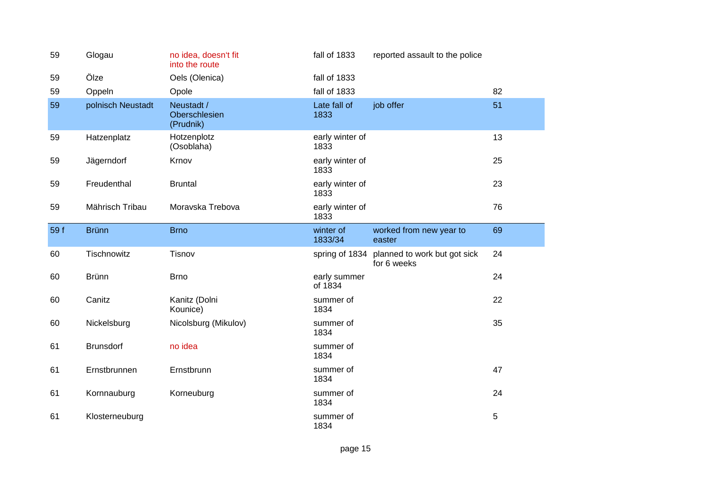| 59   | Glogau            | no idea, doesn't fit<br>into the route   | fall of 1833            | reported assault to the police              |    |
|------|-------------------|------------------------------------------|-------------------------|---------------------------------------------|----|
| 59   | Ölze              | Oels (Olenica)                           | fall of 1833            |                                             |    |
| 59   | Oppeln            | Opole                                    | fall of 1833            |                                             | 82 |
| 59   | polnisch Neustadt | Neustadt /<br>Oberschlesien<br>(Prudnik) | Late fall of<br>1833    | job offer                                   | 51 |
| 59   | Hatzenplatz       | Hotzenplotz<br>(Osoblaha)                | early winter of<br>1833 |                                             | 13 |
| 59   | Jägerndorf        | Krnov                                    | early winter of<br>1833 |                                             | 25 |
| 59   | Freudenthal       | <b>Bruntal</b>                           | early winter of<br>1833 |                                             | 23 |
| 59   | Mährisch Tribau   | Moravska Trebova                         | early winter of<br>1833 |                                             | 76 |
| 59 f | <b>Brünn</b>      | <b>Brno</b>                              | winter of<br>1833/34    | worked from new year to<br>easter           | 69 |
|      |                   |                                          |                         |                                             |    |
| 60   | Tischnowitz       | Tisnov                                   | spring of 1834          | planned to work but got sick<br>for 6 weeks | 24 |
| 60   | <b>Brünn</b>      | <b>Brno</b>                              | early summer<br>of 1834 |                                             | 24 |
| 60   | Canitz            | Kanitz (Dolni<br>Kounice)                | summer of<br>1834       |                                             | 22 |
| 60   | Nickelsburg       | Nicolsburg (Mikulov)                     | summer of<br>1834       |                                             | 35 |
| 61   | <b>Brunsdorf</b>  | no idea                                  | summer of<br>1834       |                                             |    |
| 61   | Ernstbrunnen      | Ernstbrunn                               | summer of<br>1834       |                                             | 47 |
| 61   | Kornnauburg       | Korneuburg                               | summer of<br>1834       |                                             | 24 |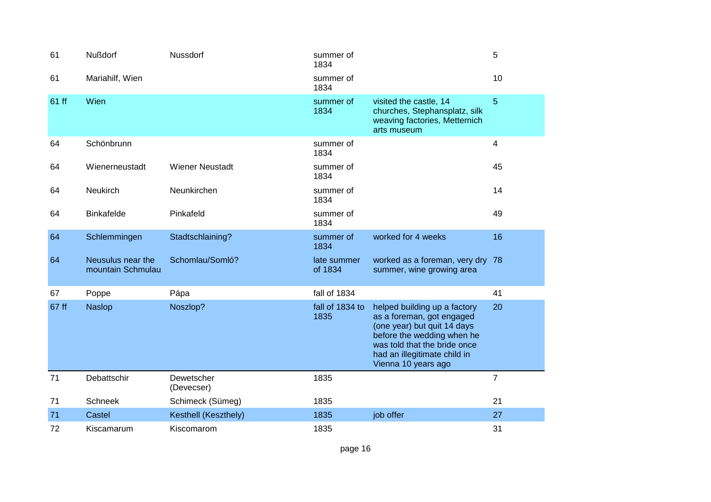| 61    | <b>Nußdorf</b>                         | Nussdorf                 | summer of<br>1834       |                                                                                                                                                                                                               | 5              |
|-------|----------------------------------------|--------------------------|-------------------------|---------------------------------------------------------------------------------------------------------------------------------------------------------------------------------------------------------------|----------------|
| 61    | Mariahilf, Wien                        |                          | summer of<br>1834       |                                                                                                                                                                                                               | 10             |
| 61 ff | Wien                                   |                          | summer of<br>1834       | visited the castle, 14<br>churches, Stephansplatz, silk<br>weaving factories, Metternich<br>arts museum                                                                                                       | 5              |
| 64    | Schönbrunn                             |                          | summer of<br>1834       |                                                                                                                                                                                                               | $\overline{4}$ |
| 64    | Wienerneustadt                         | <b>Wiener Neustadt</b>   | summer of<br>1834       |                                                                                                                                                                                                               | 45             |
| 64    | Neukirch                               | Neunkirchen              | summer of<br>1834       |                                                                                                                                                                                                               | 14             |
| 64    | <b>Binkafelde</b>                      | Pinkafeld                | summer of<br>1834       |                                                                                                                                                                                                               | 49             |
| 64    | Schlemmingen                           | Stadtschlaining?         | summer of<br>1834       | worked for 4 weeks                                                                                                                                                                                            | 16             |
| 64    | Neusulus near the<br>mountain Schmulau | Schomlau/Somló?          | late summer<br>of 1834  | worked as a foreman, very dry 78<br>summer, wine growing area                                                                                                                                                 |                |
| 67    | Poppe                                  | Pápa                     | fall of 1834            |                                                                                                                                                                                                               | 41             |
| 67 ff | <b>Naslop</b>                          | Noszlop?                 | fall of 1834 to<br>1835 | helped building up a factory<br>as a foreman, got engaged<br>(one year) but quit 14 days<br>before the wedding when he<br>was told that the bride once<br>had an illegitimate child in<br>Vienna 10 years ago | 20             |
| 71    | Debattschir                            | Dewetscher<br>(Devecser) | 1835                    |                                                                                                                                                                                                               | $\overline{7}$ |
| 71    | Schneek                                | Schimeck (Sümeg)         | 1835                    |                                                                                                                                                                                                               | 21             |
| 71    | Castel                                 | Kesthell (Keszthely)     | 1835                    | job offer                                                                                                                                                                                                     | 27             |
| 72    | Kiscamarum                             | Kiscomarom               | 1835                    |                                                                                                                                                                                                               | 31             |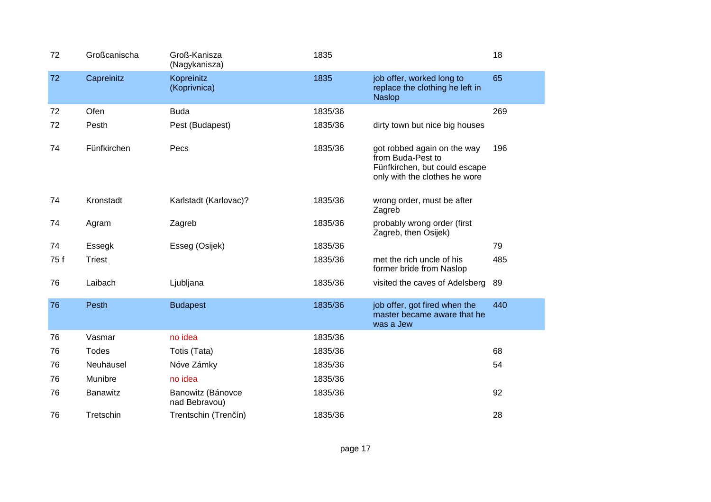| 72   | Großcanischa    | Groß-Kanisza<br>(Nagykanisza)      | 1835    |                                                                                                                    | 18  |
|------|-----------------|------------------------------------|---------|--------------------------------------------------------------------------------------------------------------------|-----|
| 72   | Capreinitz      | Kopreinitz<br>(Koprivnica)         | 1835    | job offer, worked long to<br>replace the clothing he left in<br><b>Naslop</b>                                      | 65  |
| 72   | Ofen            | <b>Buda</b>                        | 1835/36 |                                                                                                                    | 269 |
| 72   | Pesth           | Pest (Budapest)                    | 1835/36 | dirty town but nice big houses                                                                                     |     |
| 74   | Fünfkirchen     | Pecs                               | 1835/36 | got robbed again on the way<br>from Buda-Pest to<br>Fünfkirchen, but could escape<br>only with the clothes he wore | 196 |
| 74   | Kronstadt       | Karlstadt (Karlovac)?              | 1835/36 | wrong order, must be after<br>Zagreb                                                                               |     |
| 74   | Agram           | Zagreb                             | 1835/36 | probably wrong order (first<br>Zagreb, then Osijek)                                                                |     |
| 74   | Essegk          | Esseg (Osijek)                     | 1835/36 |                                                                                                                    | 79  |
| 75 f | <b>Triest</b>   |                                    | 1835/36 | met the rich uncle of his<br>former bride from Naslop                                                              | 485 |
| 76   | Laibach         | Ljubljana                          | 1835/36 | visited the caves of Adelsberg                                                                                     | 89  |
| 76   | Pesth           | <b>Budapest</b>                    | 1835/36 | job offer, got fired when the<br>master became aware that he<br>was a Jew                                          | 440 |
| 76   | Vasmar          | no idea                            | 1835/36 |                                                                                                                    |     |
| 76   | <b>Todes</b>    | Totis (Tata)                       | 1835/36 |                                                                                                                    | 68  |
| 76   | Neuhäusel       | Nóve Zámky                         | 1835/36 |                                                                                                                    | 54  |
| 76   | Munibre         | no idea                            | 1835/36 |                                                                                                                    |     |
| 76   | <b>Banawitz</b> | Banowitz (Bánovce<br>nad Bebravou) | 1835/36 |                                                                                                                    | 92  |
| 76   | Tretschin       | Trentschin (Trenčín)               | 1835/36 |                                                                                                                    | 28  |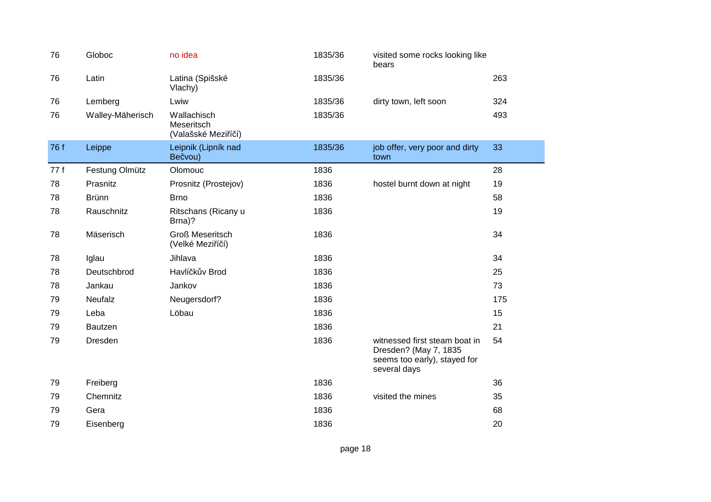| 76   | Globoc           | no idea                                          | 1835/36 | visited some rocks looking like<br>bears                                                               |     |
|------|------------------|--------------------------------------------------|---------|--------------------------------------------------------------------------------------------------------|-----|
| 76   | Latin            | Latina (Spišské<br>Vlachy)                       | 1835/36 |                                                                                                        | 263 |
| 76   | Lemberg          | Lwiw                                             | 1835/36 | dirty town, left soon                                                                                  | 324 |
| 76   | Walley-Mäherisch | Wallachisch<br>Meseritsch<br>(Valašské Meziříčí) | 1835/36 |                                                                                                        | 493 |
| 76 f | Leippe           | Leipnik (Lipník nad<br>Bečvou)                   | 1835/36 | job offer, very poor and dirty<br>town                                                                 | 33  |
| 77 f | Festung Olmütz   | Olomouc                                          | 1836    |                                                                                                        | 28  |
| 78   | Prasnitz         | Prosnitz (Prostejov)                             | 1836    | hostel burnt down at night                                                                             | 19  |
| 78   | <b>Brünn</b>     | <b>Brno</b>                                      | 1836    |                                                                                                        | 58  |
| 78   | Rauschnitz       | Ritschans (Ricany u<br>Brna)?                    | 1836    |                                                                                                        | 19  |
| 78   | Mäserisch        | <b>Groß Meseritsch</b><br>(Velké Meziříčí)       | 1836    |                                                                                                        | 34  |
| 78   | Iglau            | Jihlava                                          | 1836    |                                                                                                        | 34  |
| 78   | Deutschbrod      | Havlíčkův Brod                                   | 1836    |                                                                                                        | 25  |
| 78   | Jankau           | Jankov                                           | 1836    |                                                                                                        | 73  |
| 79   | Neufalz          | Neugersdorf?                                     | 1836    |                                                                                                        | 175 |
| 79   | Leba             | Löbau                                            | 1836    |                                                                                                        | 15  |
| 79   | Bautzen          |                                                  | 1836    |                                                                                                        | 21  |
| 79   | Dresden          |                                                  | 1836    | witnessed first steam boat in<br>Dresden? (May 7, 1835<br>seems too early), stayed for<br>several days | 54  |
| 79   | Freiberg         |                                                  | 1836    |                                                                                                        | 36  |
| 79   | Chemnitz         |                                                  | 1836    | visited the mines                                                                                      | 35  |
| 79   | Gera             |                                                  | 1836    |                                                                                                        | 68  |
| 79   | Eisenberg        |                                                  | 1836    |                                                                                                        | 20  |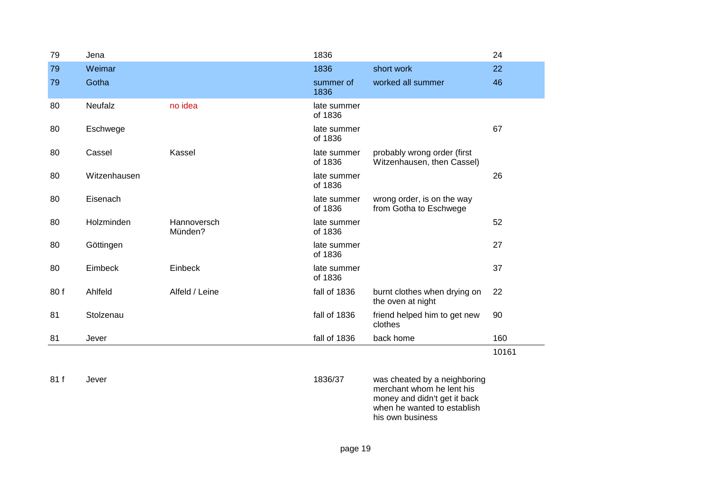| 79   | Jena         |                        | 1836                   |                                                                                           | 24    |
|------|--------------|------------------------|------------------------|-------------------------------------------------------------------------------------------|-------|
| 79   | Weimar       |                        | 1836                   | short work                                                                                | 22    |
| 79   | Gotha        |                        | summer of<br>1836      | worked all summer                                                                         | 46    |
| 80   | Neufalz      | no idea                | late summer<br>of 1836 |                                                                                           |       |
| 80   | Eschwege     |                        | late summer<br>of 1836 |                                                                                           | 67    |
| 80   | Cassel       | Kassel                 | late summer<br>of 1836 | probably wrong order (first<br>Witzenhausen, then Cassel)                                 |       |
| 80   | Witzenhausen |                        | late summer<br>of 1836 |                                                                                           | 26    |
| 80   | Eisenach     |                        | late summer<br>of 1836 | wrong order, is on the way<br>from Gotha to Eschwege                                      |       |
| 80   | Holzminden   | Hannoversch<br>Münden? | late summer<br>of 1836 |                                                                                           | 52    |
| 80   | Göttingen    |                        | late summer<br>of 1836 |                                                                                           | 27    |
| 80   | Eimbeck      | Einbeck                | late summer<br>of 1836 |                                                                                           | 37    |
| 80f  | Ahlfeld      | Alfeld / Leine         | fall of 1836           | burnt clothes when drying on<br>the oven at night                                         | 22    |
| 81   | Stolzenau    |                        | fall of 1836           | friend helped him to get new<br>clothes                                                   | 90    |
| 81   | Jever        |                        | fall of 1836           | back home                                                                                 | 160   |
|      |              |                        |                        |                                                                                           | 10161 |
| 81 f | Jever        |                        | 1836/37                | was cheated by a neighboring<br>merchant whom he lent his<br>money and didn't get it back |       |

when he wanted to establish

his own business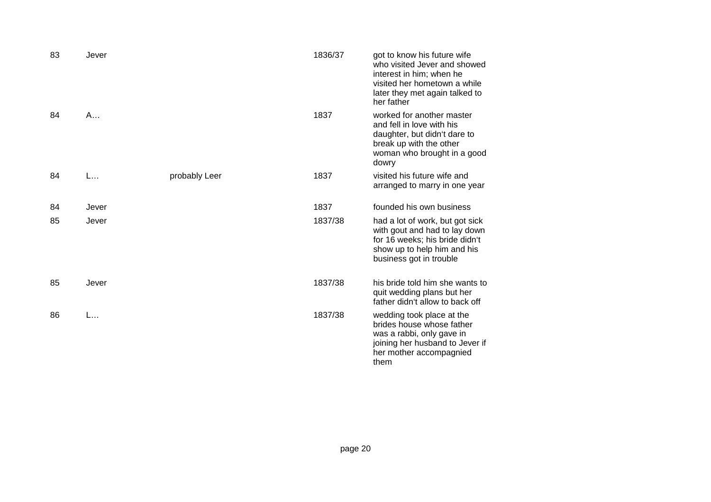| 83 | Jever |               | 1836/37 | got to know his future wife<br>who visited Jever and showed<br>interest in him; when he<br>visited her hometown a while<br>later they met again talked to<br>her father |
|----|-------|---------------|---------|-------------------------------------------------------------------------------------------------------------------------------------------------------------------------|
| 84 | A     |               | 1837    | worked for another master<br>and fell in love with his<br>daughter, but didn't dare to<br>break up with the other<br>woman who brought in a good<br>dowry               |
| 84 | L     | probably Leer | 1837    | visited his future wife and<br>arranged to marry in one year                                                                                                            |
| 84 | Jever |               | 1837    | founded his own business                                                                                                                                                |
| 85 | Jever |               | 1837/38 | had a lot of work, but got sick<br>with gout and had to lay down<br>for 16 weeks; his bride didn't<br>show up to help him and his<br>business got in trouble            |
| 85 | Jever |               | 1837/38 | his bride told him she wants to<br>quit wedding plans but her<br>father didn't allow to back off                                                                        |
| 86 | L     |               | 1837/38 | wedding took place at the<br>brides house whose father<br>was a rabbi, only gave in<br>joining her husband to Jever if<br>her mother accompagnied<br>them               |